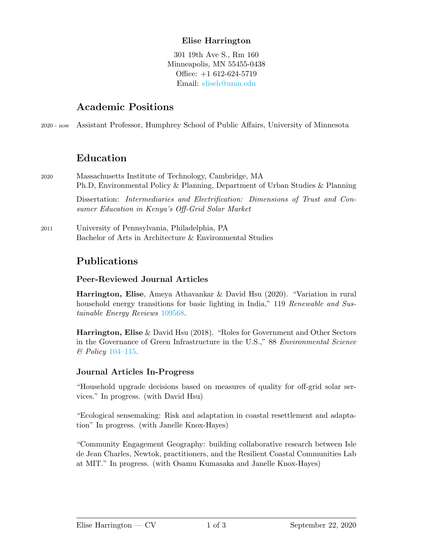### Elise Harrington

301 19th Ave S., Rm 160 Minneapolis, MN 55455-0438 Office: +1 612-624-5719 Email: [eliseh@umn.edu](mailto:eliseh@umn.edu)

### Academic Positions

2020 - now Assistant Professor, Humphrey School of Public Affairs, University of Minnesota

# Education

2020 Massachusetts Institute of Technology, Cambridge, MA Ph.D, Environmental Policy & Planning, Department of Urban Studies & Planning

> Dissertation: Intermediaries and Electrification: Dimensions of Trust and Consumer Education in Kenya's Off-Grid Solar Market

2011 University of Pennsylvania, Philadelphia, PA Bachelor of Arts in Architecture & Environmental Studies

# Publications

#### Peer-Reviewed Journal Articles

Harrington, Elise, Ameya Athavankar & David Hsu (2020). "Variation in rural household energy transitions for basic lighting in India," 119 Renewable and Sustainable Energy Reviews [109568.](https://doi.org/10.1016/j.rser.2019.109568)

Harrington, Elise & David Hsu (2018). "Roles for Government and Other Sectors in the Governance of Green Infrastructure in the U.S.," 88 Environmental Science & Policy [104–115.](https://doi.org/10.1016/j.envsci.2018.06.003)

#### Journal Articles In-Progress

"Household upgrade decisions based on measures of quality for off-grid solar services." In progress. (with David Hsu)

"Ecological sensemaking: Risk and adaptation in coastal resettlement and adaptation" In progress. (with Janelle Knox-Hayes)

"Community Engagement Geography: building collaborative research between Isle de Jean Charles, Newtok, practitioners, and the Resilient Coastal Communities Lab at MIT." In progress. (with Osamu Kumasaka and Janelle Knox-Hayes)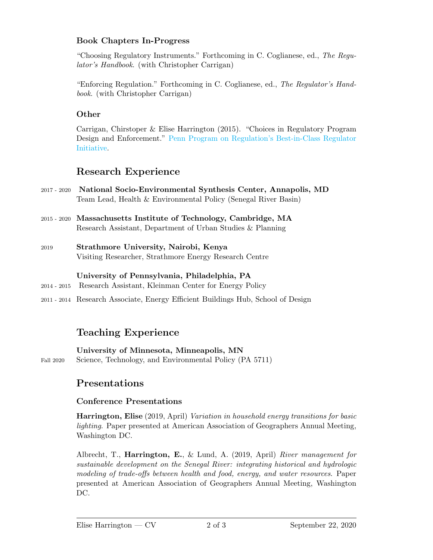### Book Chapters In-Progress

"Choosing Regulatory Instruments." Forthcoming in C. Coglianese, ed., The Regulator's Handbook. (with Christopher Carrigan)

"Enforcing Regulation." Forthcoming in C. Coglianese, ed., The Regulator's Handbook. (with Christopher Carrigan)

#### **Other**

Carrigan, Chirstoper & Elise Harrington (2015). "Choices in Regulatory Program Design and Enforcement." [Penn Program on Regulation's Best-in-Class Regulator](https://www.law.upenn.edu/live/files/4706-carriganharrington-ppr-researchpaper062015pdf) [Initiative.](https://www.law.upenn.edu/live/files/4706-carriganharrington-ppr-researchpaper062015pdf)

# Research Experience

- 2017 2020 National Socio-Environmental Synthesis Center, Annapolis, MD Team Lead, Health & Environmental Policy (Senegal River Basin)
- 2015 2020 Massachusetts Institute of Technology, Cambridge, MA Research Assistant, Department of Urban Studies & Planning
- 2019 Strathmore University, Nairobi, Kenya Visiting Researcher, Strathmore Energy Research Centre

#### University of Pennsylvania, Philadelphia, PA

- 2014 2015 Research Assistant, Kleinman Center for Energy Policy
- 2011 2014 Research Associate, Energy Efficient Buildings Hub, School of Design

# Teaching Experience

University of Minnesota, Minneapolis, MN Fall 2020 Science, Technology, and Environmental Policy (PA 5711)

## Presentations

#### Conference Presentations

Harrington, Elise (2019, April) Variation in household energy transitions for basic lighting. Paper presented at American Association of Geographers Annual Meeting, Washington DC.

Albrecht, T., Harrington, E., & Lund, A.  $(2019,$  April) River management for sustainable development on the Senegal River: integrating historical and hydrologic modeling of trade-offs between health and food, energy, and water resources. Paper presented at American Association of Geographers Annual Meeting, Washington DC.